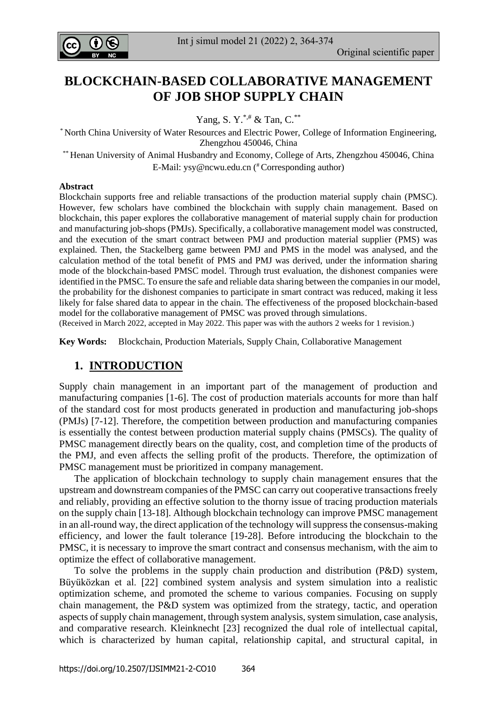

# **BLOCKCHAIN-BASED COLLABORATIVE MANAGEMENT OF JOB SHOP SUPPLY CHAIN**

Yang, S. Y.<sup>\*,#</sup> & Tan, C.<sup>\*\*</sup>

\* North China University of Water Resources and Electric Power, College of Information Engineering, Zhengzhou 450046, China

\*\* Henan University of Animal Husbandry and Economy, College of Arts, Zhengzhou 450046, China E-Mail: [ysy@ncwu.edu.cn](mailto:ysy@ncwu.edu.cn) ( #Corresponding author)

#### **Abstract**

Blockchain supports free and reliable transactions of the production material supply chain (PMSC). However, few scholars have combined the blockchain with supply chain management. Based on blockchain, this paper explores the collaborative management of material supply chain for production and manufacturing job-shops (PMJs). Specifically, a collaborative management model was constructed, and the execution of the smart contract between PMJ and production material supplier (PMS) was explained. Then, the Stackelberg game between PMJ and PMS in the model was analysed, and the calculation method of the total benefit of PMS and PMJ was derived, under the information sharing mode of the blockchain-based PMSC model. Through trust evaluation, the dishonest companies were identified in the PMSC. To ensure the safe and reliable data sharing between the companies in our model, the probability for the dishonest companies to participate in smart contract was reduced, making it less likely for false shared data to appear in the chain. The effectiveness of the proposed blockchain-based model for the collaborative management of PMSC was proved through simulations.

(Received in March 2022, accepted in May 2022. This paper was with the authors 2 weeks for 1 revision.)

**Key Words:** Blockchain, Production Materials, Supply Chain, Collaborative Management

### **1. INTRODUCTION**

Supply chain management in an important part of the management of production and manufacturing companies [1-6]. The cost of production materials accounts for more than half of the standard cost for most products generated in production and manufacturing job-shops (PMJs) [7-12]. Therefore, the competition between production and manufacturing companies is essentially the contest between production material supply chains (PMSCs). The quality of PMSC management directly bears on the quality, cost, and completion time of the products of the PMJ, and even affects the selling profit of the products. Therefore, the optimization of PMSC management must be prioritized in company management.

The application of blockchain technology to supply chain management ensures that the upstream and downstream companies of the PMSC can carry out cooperative transactions freely and reliably, providing an effective solution to the thorny issue of tracing production materials on the supply chain [13-18]. Although blockchain technology can improve PMSC management in an all-round way, the direct application of the technology will suppress the consensus-making efficiency, and lower the fault tolerance [19-28]. Before introducing the blockchain to the PMSC, it is necessary to improve the smart contract and consensus mechanism, with the aim to optimize the effect of collaborative management.

To solve the problems in the supply chain production and distribution (P&D) system, Büyüközkan et al. [22] combined system analysis and system simulation into a realistic optimization scheme, and promoted the scheme to various companies. Focusing on supply chain management, the P&D system was optimized from the strategy, tactic, and operation aspects of supply chain management, through system analysis, system simulation, case analysis, and comparative research. Kleinknecht [23] recognized the dual role of intellectual capital, which is characterized by human capital, relationship capital, and structural capital, in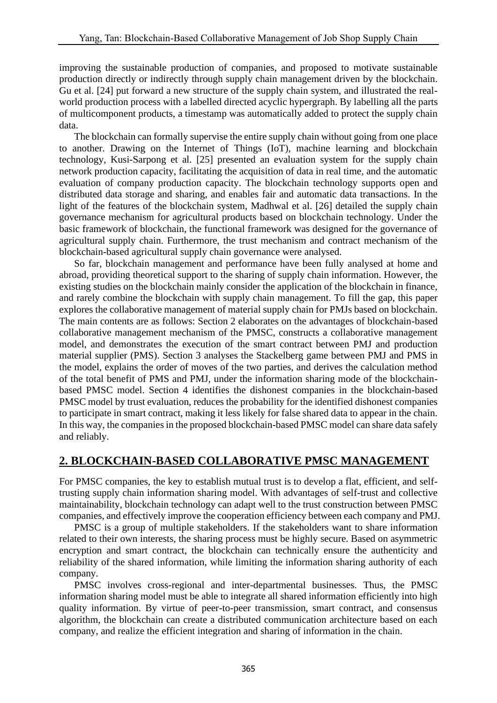improving the sustainable production of companies, and proposed to motivate sustainable production directly or indirectly through supply chain management driven by the blockchain. Gu et al. [24] put forward a new structure of the supply chain system, and illustrated the realworld production process with a labelled directed acyclic hypergraph. By labelling all the parts of multicomponent products, a timestamp was automatically added to protect the supply chain data.

The blockchain can formally supervise the entire supply chain without going from one place to another. Drawing on the Internet of Things (IoT), machine learning and blockchain technology, Kusi-Sarpong et al. [25] presented an evaluation system for the supply chain network production capacity, facilitating the acquisition of data in real time, and the automatic evaluation of company production capacity. The blockchain technology supports open and distributed data storage and sharing, and enables fair and automatic data transactions. In the light of the features of the blockchain system, Madhwal et al. [26] detailed the supply chain governance mechanism for agricultural products based on blockchain technology. Under the basic framework of blockchain, the functional framework was designed for the governance of agricultural supply chain. Furthermore, the trust mechanism and contract mechanism of the blockchain-based agricultural supply chain governance were analysed.

So far, blockchain management and performance have been fully analysed at home and abroad, providing theoretical support to the sharing of supply chain information. However, the existing studies on the blockchain mainly consider the application of the blockchain in finance, and rarely combine the blockchain with supply chain management. To fill the gap, this paper explores the collaborative management of material supply chain for PMJs based on blockchain. The main contents are as follows: Section 2 elaborates on the advantages of blockchain-based collaborative management mechanism of the PMSC, constructs a collaborative management model, and demonstrates the execution of the smart contract between PMJ and production material supplier (PMS). Section 3 analyses the Stackelberg game between PMJ and PMS in the model, explains the order of moves of the two parties, and derives the calculation method of the total benefit of PMS and PMJ, under the information sharing mode of the blockchainbased PMSC model. Section 4 identifies the dishonest companies in the blockchain-based PMSC model by trust evaluation, reduces the probability for the identified dishonest companies to participate in smart contract, making it less likely for false shared data to appear in the chain. In this way, the companies in the proposed blockchain-based PMSC model can share data safely and reliably.

## **2. BLOCKCHAIN-BASED COLLABORATIVE PMSC MANAGEMENT**

For PMSC companies, the key to establish mutual trust is to develop a flat, efficient, and selftrusting supply chain information sharing model. With advantages of self-trust and collective maintainability, blockchain technology can adapt well to the trust construction between PMSC companies, and effectively improve the cooperation efficiency between each company and PMJ.

PMSC is a group of multiple stakeholders. If the stakeholders want to share information related to their own interests, the sharing process must be highly secure. Based on asymmetric encryption and smart contract, the blockchain can technically ensure the authenticity and reliability of the shared information, while limiting the information sharing authority of each company.

PMSC involves cross-regional and inter-departmental businesses. Thus, the PMSC information sharing model must be able to integrate all shared information efficiently into high quality information. By virtue of peer-to-peer transmission, smart contract, and consensus algorithm, the blockchain can create a distributed communication architecture based on each company, and realize the efficient integration and sharing of information in the chain.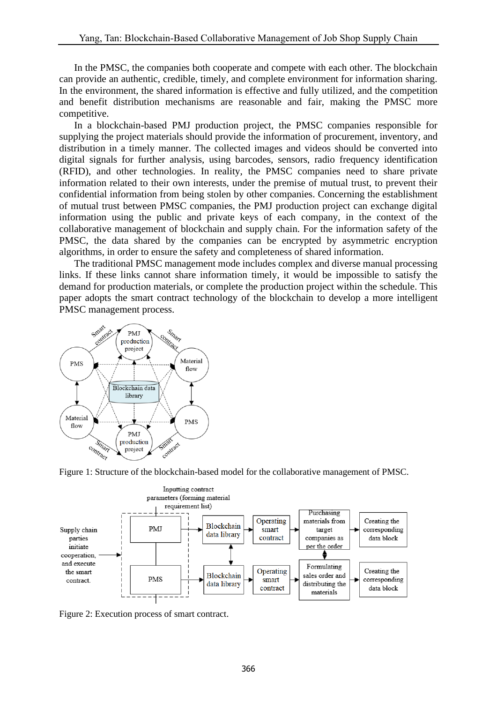In the PMSC, the companies both cooperate and compete with each other. The blockchain can provide an authentic, credible, timely, and complete environment for information sharing. In the environment, the shared information is effective and fully utilized, and the competition and benefit distribution mechanisms are reasonable and fair, making the PMSC more competitive.

In a blockchain-based PMJ production project, the PMSC companies responsible for supplying the project materials should provide the information of procurement, inventory, and distribution in a timely manner. The collected images and videos should be converted into digital signals for further analysis, using barcodes, sensors, radio frequency identification (RFID), and other technologies. In reality, the PMSC companies need to share private information related to their own interests, under the premise of mutual trust, to prevent their confidential information from being stolen by other companies. Concerning the establishment of mutual trust between PMSC companies, the PMJ production project can exchange digital information using the public and private keys of each company, in the context of the collaborative management of blockchain and supply chain. For the information safety of the PMSC, the data shared by the companies can be encrypted by asymmetric encryption algorithms, in order to ensure the safety and completeness of shared information.

The traditional PMSC management mode includes complex and diverse manual processing links. If these links cannot share information timely, it would be impossible to satisfy the demand for production materials, or complete the production project within the schedule. This paper adopts the smart contract technology of the blockchain to develop a more intelligent PMSC management process.







Figure 2: Execution process of smart contract.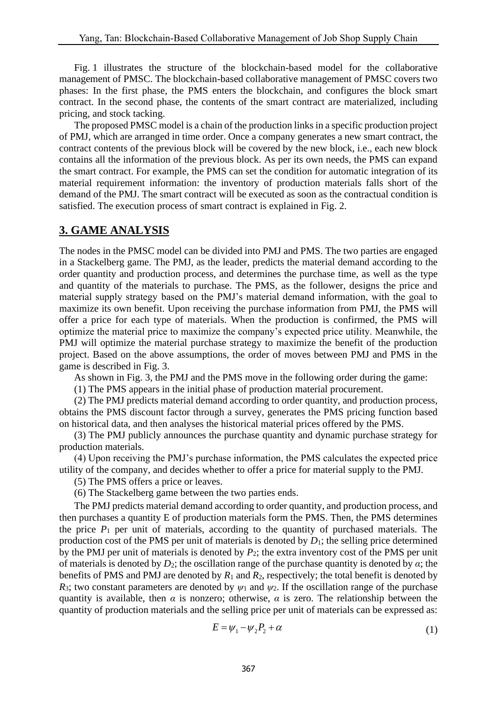Fig. 1 illustrates the structure of the blockchain-based model for the collaborative management of PMSC. The blockchain-based collaborative management of PMSC covers two phases: In the first phase, the PMS enters the blockchain, and configures the block smart contract. In the second phase, the contents of the smart contract are materialized, including pricing, and stock tacking.

The proposed PMSC model is a chain of the production links in a specific production project of PMJ, which are arranged in time order. Once a company generates a new smart contract, the contract contents of the previous block will be covered by the new block, i.e., each new block contains all the information of the previous block. As per its own needs, the PMS can expand the smart contract. For example, the PMS can set the condition for automatic integration of its material requirement information: the inventory of production materials falls short of the demand of the PMJ. The smart contract will be executed as soon as the contractual condition is satisfied. The execution process of smart contract is explained in Fig. 2.

## **3. GAME ANALYSIS**

The nodes in the PMSC model can be divided into PMJ and PMS. The two parties are engaged in a Stackelberg game. The PMJ, as the leader, predicts the material demand according to the order quantity and production process, and determines the purchase time, as well as the type and quantity of the materials to purchase. The PMS, as the follower, designs the price and material supply strategy based on the PMJ's material demand information, with the goal to maximize its own benefit. Upon receiving the purchase information from PMJ, the PMS will offer a price for each type of materials. When the production is confirmed, the PMS will optimize the material price to maximize the company's expected price utility. Meanwhile, the PMJ will optimize the material purchase strategy to maximize the benefit of the production project. Based on the above assumptions, the order of moves between PMJ and PMS in the game is described in Fig. 3.

As shown in Fig. 3, the PMJ and the PMS move in the following order during the game:

(1) The PMS appears in the initial phase of production material procurement.

(2) The PMJ predicts material demand according to order quantity, and production process, obtains the PMS discount factor through a survey, generates the PMS pricing function based on historical data, and then analyses the historical material prices offered by the PMS.

(3) The PMJ publicly announces the purchase quantity and dynamic purchase strategy for production materials.

(4) Upon receiving the PMJ's purchase information, the PMS calculates the expected price utility of the company, and decides whether to offer a price for material supply to the PMJ.

(5) The PMS offers a price or leaves.

(6) The Stackelberg game between the two parties ends.

The PMJ predicts material demand according to order quantity, and production process, and then purchases a quantity E of production materials form the PMS. Then, the PMS determines the price  $P_1$  per unit of materials, according to the quantity of purchased materials. The production cost of the PMS per unit of materials is denoted by *D*1; the selling price determined by the PMJ per unit of materials is denoted by *P*2; the extra inventory cost of the PMS per unit of materials is denoted by  $D_2$ ; the oscillation range of the purchase quantity is denoted by  $\alpha$ ; the benefits of PMS and PMJ are denoted by  $R_1$  and  $R_2$ , respectively; the total benefit is denoted by *R*<sub>3</sub>; two constant parameters are denoted by  $\psi_1$  and  $\psi_2$ . If the oscillation range of the purchase quantity is available, then  $\alpha$  is nonzero; otherwise,  $\alpha$  is zero. The relationship between the quantity of production materials and the selling price per unit of materials can be expressed as:

$$
E = \psi_1 - \psi_2 P_2 + \alpha \tag{1}
$$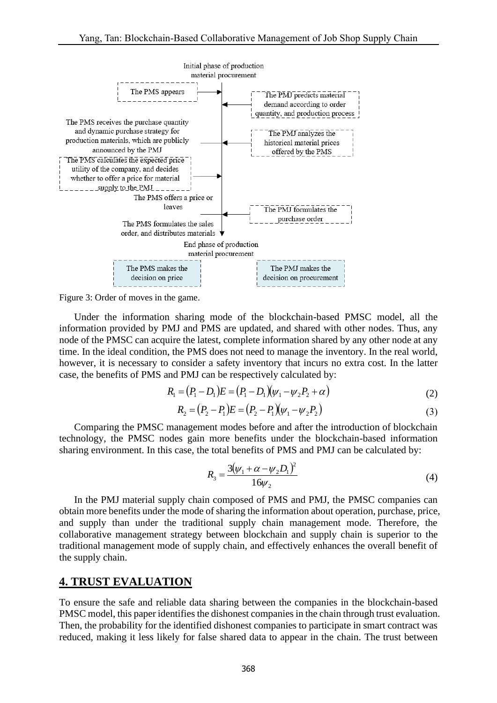

Figure 3: Order of moves in the game.

Under the information sharing mode of the blockchain-based PMSC model, all the information provided by PMJ and PMS are updated, and shared with other nodes. Thus, any node of the PMSC can acquire the latest, complete information shared by any other node at any time. In the ideal condition, the PMS does not need to manage the inventory. In the real world, however, it is necessary to consider a safety inventory that incurs no extra cost. In the latter case, the benefits of PMS and PMJ can be respectively calculated by:

$$
R_1 = (P_1 - D_1)E = (P_1 - D_1)(\psi_1 - \psi_2 P_2 + \alpha)
$$
\n(2)

$$
R_2 = (P_2 - P_1)E = (P_2 - P_1)(\psi_1 - \psi_2 P_2)
$$
\n(3)

Comparing the PMSC management modes before and after the introduction of blockchain technology, the PMSC nodes gain more benefits under the blockchain-based information sharing environment. In this case, the total benefits of PMS and PMJ can be calculated by:

*R*

$$
R_3 = \frac{3(\psi_1 + \alpha - \psi_2 D_1)^2}{16\psi_2} \tag{4}
$$

In the PMJ material supply chain composed of PMS and PMJ, the PMSC companies can obtain more benefits under the mode of sharing the information about operation, purchase, price, and supply than under the traditional supply chain management mode. Therefore, the collaborative management strategy between blockchain and supply chain is superior to the traditional management mode of supply chain, and effectively enhances the overall benefit of the supply chain.

#### **4. TRUST EVALUATION**

To ensure the safe and reliable data sharing between the companies in the blockchain-based PMSC model, this paper identifies the dishonest companies in the chain through trust evaluation. Then, the probability for the identified dishonest companies to participate in smart contract was reduced, making it less likely for false shared data to appear in the chain. The trust between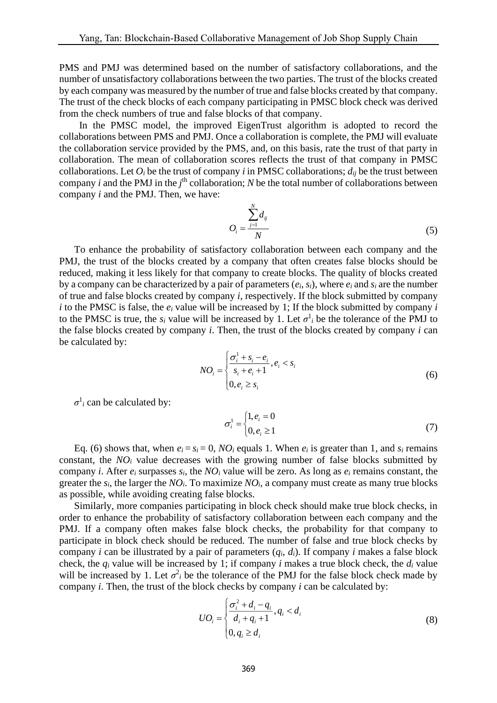PMS and PMJ was determined based on the number of satisfactory collaborations, and the number of unsatisfactory collaborations between the two parties. The trust of the blocks created by each company was measured by the number of true and false blocks created by that company. The trust of the check blocks of each company participating in PMSC block check was derived from the check numbers of true and false blocks of that company.

In the PMSC model, the improved EigenTrust algorithm is adopted to record the collaborations between PMS and PMJ. Once a collaboration is complete, the PMJ will evaluate the collaboration service provided by the PMS, and, on this basis, rate the trust of that party in collaboration. The mean of collaboration scores reflects the trust of that company in PMSC collaborations. Let  $O_i$  be the trust of company *i* in PMSC collaborations;  $d_{ij}$  be the trust between company *i* and the PMJ in the  $j^{\text{th}}$  collaboration; *N* be the total number of collaborations between company *i* and the PMJ. Then, we have:

$$
O_i = \frac{\sum_{j=1}^{N} d_{ij}}{N}
$$
 (5)

To enhance the probability of satisfactory collaboration between each company and the PMJ, the trust of the blocks created by a company that often creates false blocks should be reduced, making it less likely for that company to create blocks. The quality of blocks created by a company can be characterized by a pair of parameters  $(e_i, s_i)$ , where  $e_i$  and  $s_i$  are the number of true and false blocks created by company *i*, respectively. If the block submitted by company *i* to the PMSC is false, the *e<sup>i</sup>* value will be increased by 1; If the block submitted by company *i* to the PMSC is true, the  $s_i$  value will be increased by 1. Let  $\sigma^1_i$  be the tolerance of the PMJ to the false blocks created by company *i*. Then, the trust of the blocks created by company *i* can be calculated by:

$$
NO_i = \begin{cases} \frac{\sigma_i^1 + s_i - e_i}{s_i + e_i + 1}, e_i < s_i\\ 0, e_i \ge s_i \end{cases} \tag{6}
$$

 $\sigma$ <sup>1</sup> *i* can be calculated by:

$$
\sigma_i^1 = \begin{cases} 1, e_i = 0 \\ 0, e_i \ge 1 \end{cases}
$$
\n
$$
(7)
$$

Eq. (6) shows that, when  $e_i = s_i = 0$ ,  $NO_i$  equals 1. When  $e_i$  is greater than 1, and  $s_i$  remains constant, the *NO<sup>i</sup>* value decreases with the growing number of false blocks submitted by company *i*. After  $e_i$  surpasses  $s_i$ , the  $NO_i$  value will be zero. As long as  $e_i$  remains constant, the greater the  $s_i$ , the larger the  $NO_i$ . To maximize  $NO_i$ , a company must create as many true blocks as possible, while avoiding creating false blocks.

Similarly, more companies participating in block check should make true block checks, in order to enhance the probability of satisfactory collaboration between each company and the PMJ. If a company often makes false block checks, the probability for that company to participate in block check should be reduced. The number of false and true block checks by company *i* can be illustrated by a pair of parameters  $(q_i, d_i)$ . If company *i* makes a false block check, the  $q_i$  value will be increased by 1; if company *i* makes a true block check, the  $d_i$  value will be increased by 1. Let  $\sigma^2$  be the tolerance of the PMJ for the false block check made by company *i*. Then, the trust of the block checks by company *i* can be calculated by:

$$
UO_i = \begin{cases} \frac{\sigma_i^2 + d_i - q_i}{d_i + q_i + 1}, q_i < d_i \\ 0, q_i \ge d_i \end{cases} \tag{8}
$$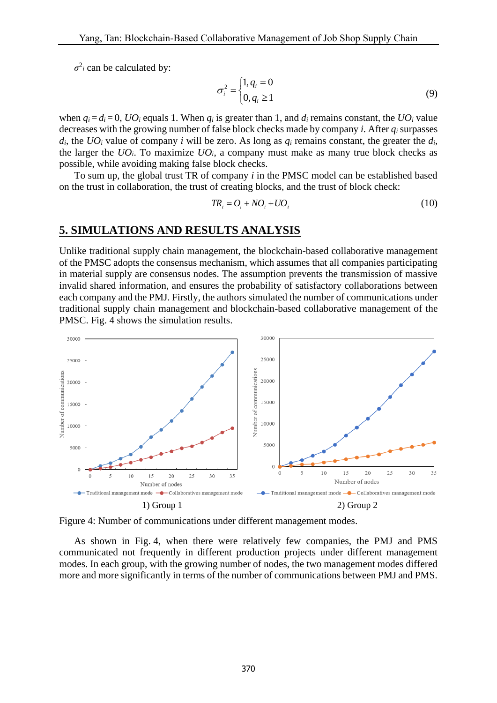$\sigma^2$ *i* can be calculated by:

$$
\sigma_i^2 = \begin{cases} 1, q_i = 0 \\ 0, q_i \ge 1 \end{cases}
$$
 (9)

when  $q_i = d_i = 0$ ,  $UO_i$  equals 1. When  $q_i$  is greater than 1, and  $d_i$  remains constant, the  $UO_i$  value decreases with the growing number of false block checks made by company *i*. After *q<sup>i</sup>* surpasses  $d_i$ , the  $UO_i$  value of company *i* will be zero. As long as  $q_i$  remains constant, the greater the  $d_i$ , the larger the  $UO_i$ . To maximize  $UO_i$ , a company must make as many true block checks as possible, while avoiding making false block checks.

To sum up, the global trust TR of company *i* in the PMSC model can be established based on the trust in collaboration, the trust of creating blocks, and the trust of block check:

$$
TR_i = O_i + NO_i + UO_i \tag{10}
$$

#### **5. SIMULATIONS AND RESULTS ANALYSIS**

Unlike traditional supply chain management, the blockchain-based collaborative management of the PMSC adopts the consensus mechanism, which assumes that all companies participating in material supply are consensus nodes. The assumption prevents the transmission of massive invalid shared information, and ensures the probability of satisfactory collaborations between each company and the PMJ. Firstly, the authors simulated the number of communications under traditional supply chain management and blockchain-based collaborative management of the PMSC. Fig. 4 shows the simulation results.



Figure 4: Number of communications under different management modes.

As shown in Fig. 4, when there were relatively few companies, the PMJ and PMS communicated not frequently in different production projects under different management modes. In each group, with the growing number of nodes, the two management modes differed more and more significantly in terms of the number of communications between PMJ and PMS.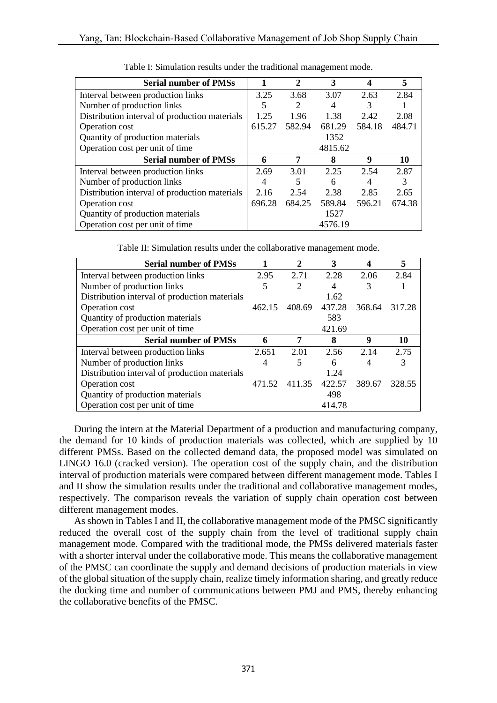| <b>Serial number of PMSs</b>                  |        | $\mathbf{2}$ | 3       |        | 5      |
|-----------------------------------------------|--------|--------------|---------|--------|--------|
| Interval between production links             | 3.25   | 3.68         | 3.07    | 2.63   | 2.84   |
| Number of production links                    | 5      | 2            | 4       | 3      |        |
| Distribution interval of production materials | 1.25   | 1.96         | 1.38    | 2.42   | 2.08   |
| Operation cost                                | 615.27 | 582.94       | 681.29  | 584.18 | 484.71 |
| Quantity of production materials              |        |              | 1352    |        |        |
| Operation cost per unit of time               |        |              | 4815.62 |        |        |
| <b>Serial number of PMSs</b>                  | 6      | 7            | 8       | 9      | 10     |
|                                               |        | 3.01         | 2.25    | 2.54   | 2.87   |
| Interval between production links             | 2.69   |              |         |        |        |
| Number of production links                    | 4      | 5            | 6       | 4      |        |
| Distribution interval of production materials | 2.16   | 2.54         | 2.38    | 2.85   | 2.65   |
| Operation cost                                | 696.28 | 684.25       | 589.84  | 596.21 | 674.38 |
| Quantity of production materials              |        |              | 1527    |        |        |

Table I: Simulation results under the traditional management mode.

Table II: Simulation results under the collaborative management mode.

| <b>Serial number of PMSs</b>                  |        | $\mathbf{2}$   | 3      |        | 5      |
|-----------------------------------------------|--------|----------------|--------|--------|--------|
| Interval between production links             | 2.95   | 2.71           | 2.28   | 2.06   | 2.84   |
| Number of production links                    | 5      | $\overline{2}$ | 4      | 3      |        |
| Distribution interval of production materials |        |                | 1.62   |        |        |
| Operation cost                                | 462.15 | 408.69         | 437.28 | 368.64 | 317.28 |
| Quantity of production materials              |        |                | 583    |        |        |
| Operation cost per unit of time               |        |                | 421.69 |        |        |
|                                               |        |                |        |        |        |
| <b>Serial number of PMSs</b>                  | 6      | 7              | 8      | 9      | 10     |
| Interval between production links             | 2.651  | 2.01           | 2.56   | 2.14   | 2.75   |
| Number of production links                    | 4      | 5              | 6      | 4      |        |
| Distribution interval of production materials |        |                | 1.24   |        |        |
| Operation cost                                | 471.52 | 411.35         | 422.57 | 389.67 | 328.55 |
| Quantity of production materials              |        |                | 498    |        |        |

During the intern at the Material Department of a production and manufacturing company, the demand for 10 kinds of production materials was collected, which are supplied by 10 different PMSs. Based on the collected demand data, the proposed model was simulated on LINGO 16.0 (cracked version). The operation cost of the supply chain, and the distribution interval of production materials were compared between different management mode. Tables I and II show the simulation results under the traditional and collaborative management modes, respectively. The comparison reveals the variation of supply chain operation cost between different management modes.

As shown in Tables I and II, the collaborative management mode of the PMSC significantly reduced the overall cost of the supply chain from the level of traditional supply chain management mode. Compared with the traditional mode, the PMSs delivered materials faster with a shorter interval under the collaborative mode. This means the collaborative management of the PMSC can coordinate the supply and demand decisions of production materials in view of the global situation of the supply chain, realize timely information sharing, and greatly reduce the docking time and number of communications between PMJ and PMS, thereby enhancing the collaborative benefits of the PMSC.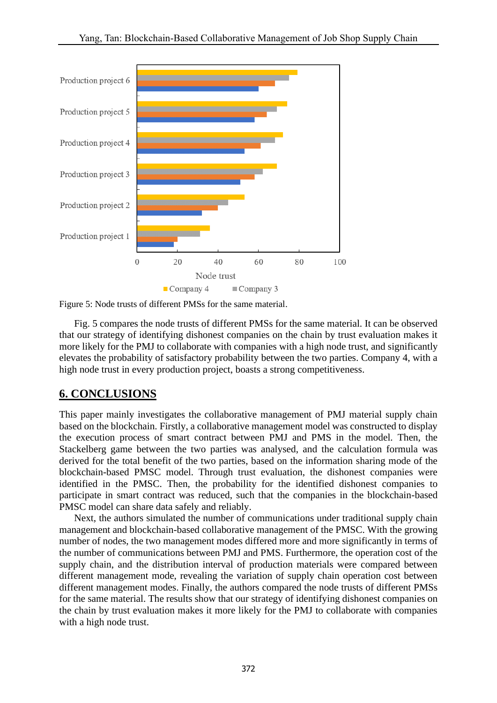



Fig. 5 compares the node trusts of different PMSs for the same material. It can be observed that our strategy of identifying dishonest companies on the chain by trust evaluation makes it more likely for the PMJ to collaborate with companies with a high node trust, and significantly elevates the probability of satisfactory probability between the two parties. Company 4, with a high node trust in every production project, boasts a strong competitiveness.

### **6. CONCLUSIONS**

This paper mainly investigates the collaborative management of PMJ material supply chain based on the blockchain. Firstly, a collaborative management model was constructed to display the execution process of smart contract between PMJ and PMS in the model. Then, the Stackelberg game between the two parties was analysed, and the calculation formula was derived for the total benefit of the two parties, based on the information sharing mode of the blockchain-based PMSC model. Through trust evaluation, the dishonest companies were identified in the PMSC. Then, the probability for the identified dishonest companies to participate in smart contract was reduced, such that the companies in the blockchain-based PMSC model can share data safely and reliably.

Next, the authors simulated the number of communications under traditional supply chain management and blockchain-based collaborative management of the PMSC. With the growing number of nodes, the two management modes differed more and more significantly in terms of the number of communications between PMJ and PMS. Furthermore, the operation cost of the supply chain, and the distribution interval of production materials were compared between different management mode, revealing the variation of supply chain operation cost between different management modes. Finally, the authors compared the node trusts of different PMSs for the same material. The results show that our strategy of identifying dishonest companies on the chain by trust evaluation makes it more likely for the PMJ to collaborate with companies with a high node trust.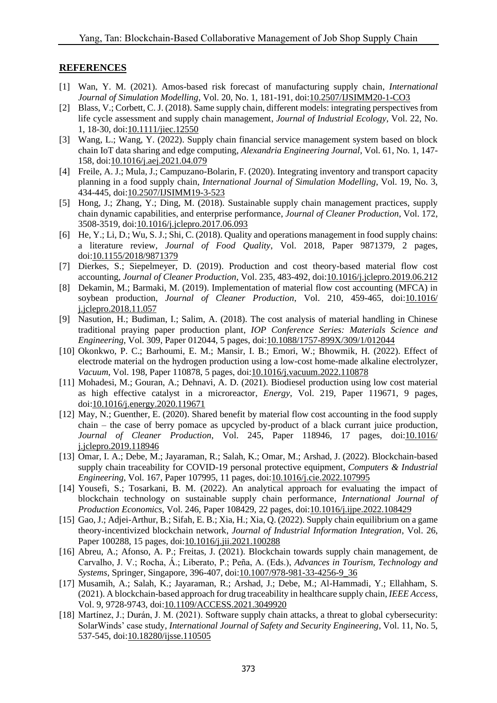#### **REFERENCES**

- [1] Wan, Y. M. (2021). Amos-based risk forecast of manufacturing supply chain, *International Journal of Simulation Modelling*, Vol. 20, No. 1, 181-191, doi[:10.2507/IJSIMM20-1-CO3](https://doi.org/10.2507/IJSIMM20-1-CO3)
- [2] Blass, V.; Corbett, C. J. (2018). Same supply chain, different models: integrating perspectives from life cycle assessment and supply chain management, *Journal of Industrial Ecology*, Vol. 22, No. 1, 18-30, doi[:10.1111/jiec.12550](https://doi.org/10.1111/jiec.12550)
- [3] Wang, L.; Wang, Y. (2022). Supply chain financial service management system based on block chain IoT data sharing and edge computing, *Alexandria Engineering Journal*, Vol. 61, No. 1, 147- 158, doi[:10.1016/j.aej.2021.04.079](https://doi.org/10.1016/j.aej.2021.04.079)
- [4] Freile, A. J.; Mula, J.; Campuzano-Bolarin, F. (2020). Integrating inventory and transport capacity planning in a food supply chain, *International Journal of Simulation Modelling*, Vol. 19, No. 3, 434-445, doi[:10.2507/IJSIMM19-3-523](https://doi.org/10.2507/IJSIMM19-3-523)
- [5] Hong, J.; Zhang, Y.; Ding, M. (2018). Sustainable supply chain management practices, supply chain dynamic capabilities, and enterprise performance, *Journal of Cleaner Production*, Vol. 172, 3508-3519, doi[:10.1016/j.jclepro.2017.06.093](https://doi.org/10.1016/j.jclepro.2017.06.093)
- [6] He, Y.; Li, D.; Wu, S. J.; Shi, C. (2018). Quality and operations management in food supply chains: a literature review, *Journal of Food Quality*, Vol. 2018, Paper 9871379, 2 pages, doi[:10.1155/2018/9871379](https://doi.org/10.1155/2018/9871379)
- [7] Dierkes, S.; Siepelmeyer, D. (2019). Production and cost theory-based material flow cost accounting, *Journal of Cleaner Production*, Vol. 235, 483-492, doi[:10.1016/j.jclepro.2019.06.212](https://doi.org/10.1016/j.jclepro.2019.06.212)
- [8] Dekamin, M.; Barmaki, M. (2019). Implementation of material flow cost accounting (MFCA) in soybean production, *Journal of Cleaner Production*, Vol. 210, 459-465, doi[:10.1016/](https://doi.org/10.1016/j.jclepro.2018.11.057) [j.jclepro.2018.11.057](https://doi.org/10.1016/j.jclepro.2018.11.057)
- [9] Nasution, H.; Budiman, I.; Salim, A. (2018). The cost analysis of material handling in Chinese traditional praying paper production plant, *IOP Conference Series: Materials Science and Engineering*, Vol. 309, Paper 012044, 5 pages, doi[:10.1088/1757-899X/309/1/012044](https://doi.org/10.1088/1757-899X/309/1/012044)
- [10] Okonkwo, P. C.; Barhoumi, E. M.; Mansir, I. B.; Emori, W.; Bhowmik, H. (2022). Effect of electrode material on the hydrogen production using a low-cost home-made alkaline electrolyzer, *Vacuum*, Vol. 198, Paper 110878, 5 pages, doi[:10.1016/j.vacuum.2022.110878](https://doi.org/10.1016/j.vacuum.2022.110878)
- [11] Mohadesi, M.; Gouran, A.; Dehnavi, A. D. (2021). Biodiesel production using low cost material as high effective catalyst in a microreactor, *Energy*, Vol. 219, Paper 119671, 9 pages, doi[:10.1016/j.energy.2020.119671](https://doi.org/10.1016/j.energy.2020.119671)
- [12] May, N.; Guenther, E. (2020). Shared benefit by material flow cost accounting in the food supply chain – the case of berry pomace as upcycled by-product of a black currant juice production, *Journal of Cleaner Production*, Vol. 245, Paper 118946, 17 pages, doi[:10.1016/](https://doi.org/10.1016/j.jclepro.2019.118946) [j.jclepro.2019.118946](https://doi.org/10.1016/j.jclepro.2019.118946)
- [13] Omar, I. A.; Debe, M.; Jayaraman, R.; Salah, K.; Omar, M.; Arshad, J. (2022). Blockchain-based supply chain traceability for COVID-19 personal protective equipment, *Computers & Industrial Engineering*, Vol. 167, Paper 107995, 11 pages, doi[:10.1016/j.cie.2022.107995](https://doi.org/10.1016/j.cie.2022.107995)
- [14] Yousefi, S.; Tosarkani, B. M. (2022). An analytical approach for evaluating the impact of blockchain technology on sustainable supply chain performance, *International Journal of Production Economics*, Vol. 246, Paper 108429, 22 pages, doi[:10.1016/j.ijpe.2022.108429](https://doi.org/10.1016/j.ijpe.2022.108429)
- [15] Gao, J.; Adjei-Arthur, B.; Sifah, E. B.; Xia, H.; Xia, Q. (2022). Supply chain equilibrium on a game theory-incentivized blockchain network, *Journal of Industrial Information Integration*, Vol. 26, Paper 100288, 15 pages, doi[:10.1016/j.jii.2021.100288](https://doi.org/10.1016/j.jii.2021.100288)
- [16] Abreu, A.; Afonso, A. P.; Freitas, J. (2021). Blockchain towards supply chain management, de Carvalho, J. V.; Rocha, Á.; Liberato, P.; Peña, A. (Eds.), *Advances in Tourism, Technology and Systems*, Springer, Singapore, 396-407, doi[:10.1007/978-981-33-4256-9\\_36](https://doi.org/10.1007/978-981-33-4256-9_36)
- [17] Musamih, A.; Salah, K.; Jayaraman, R.; Arshad, J.; Debe, M.; Al-Hammadi, Y.; Ellahham, S. (2021). A blockchain-based approach for drug traceability in healthcare supply chain, *IEEE Access*, Vol. 9, 9728-9743, doi[:10.1109/ACCESS.2021.3049920](https://doi.org/10.1109/ACCESS.2021.3049920)
- [18] Martínez, J.; Durán, J. M. (2021). Software supply chain attacks, a threat to global cybersecurity: SolarWinds' case study, *International Journal of Safety and Security Engineering*, Vol. 11, No. 5, 537-545, doi[:10.18280/ijsse.110505](https://doi.org/10.18280/ijsse.110505)